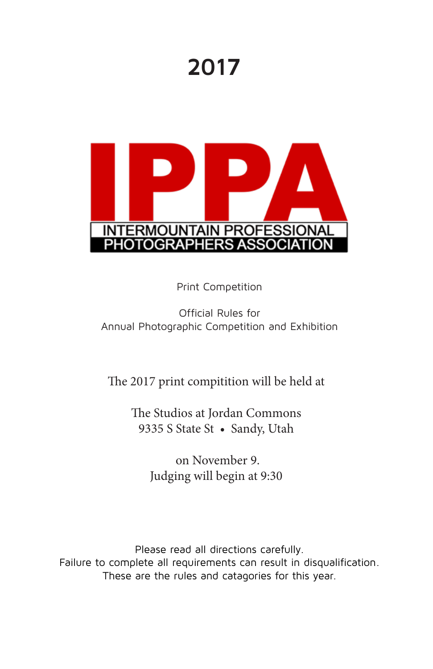# **2017**



Print Competition

#### Official Rules for Annual Photographic Competition and Exhibition

#### The 2017 print compitition will be held at

The Studios at Jordan Commons 9335 S State St • Sandy, Utah

> on November 9. Judging will begin at 9:30

Please read all directions carefully. Failure to complete all requirements can result in disqualification. These are the rules and catagories for this year.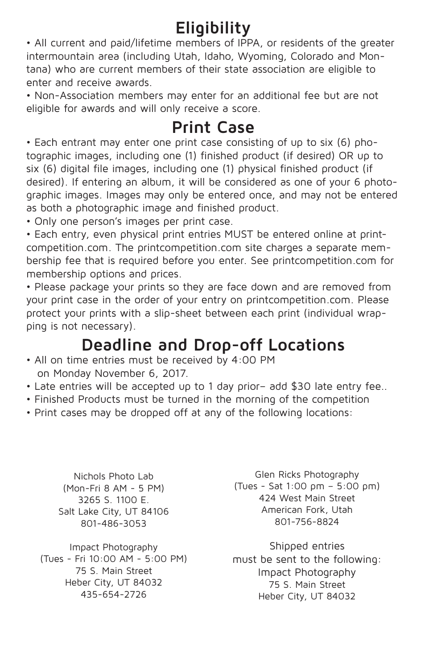# **Eligibility**

• All current and paid/lifetime members of IPPA, or residents of the greater intermountain area (including Utah, Idaho, Wyoming, Colorado and Montana) who are current members of their state association are eligible to enter and receive awards.

• Non-Association members may enter for an additional fee but are not eligible for awards and will only receive a score.

### **Print Case**

• Each entrant may enter one print case consisting of up to six (6) photographic images, including one (1) finished product (if desired) OR up to six (6) digital file images, including one (1) physical finished product (if desired). If entering an album, it will be considered as one of your 6 photographic images. Images may only be entered once, and may not be entered as both a photographic image and finished product.

• Only one person's images per print case.

• Each entry, even physical print entries MUST be entered online at printcompetition.com. The printcompetition.com site charges a separate membership fee that is required before you enter. See printcompetition.com for membership options and prices.

• Please package your prints so they are face down and are removed from your print case in the order of your entry on printcompetition.com. Please protect your prints with a slip-sheet between each print (individual wrapping is not necessary).

## **Deadline and Drop-off Locations**

- All on time entries must be received by 4:00 PM on Monday November 6, 2017.
- Late entries will be accepted up to 1 day prior– add \$30 late entry fee..
- Finished Products must be turned in the morning of the competition
- Print cases may be dropped off at any of the following locations:

Nichols Photo Lab (Mon-Fri 8 AM - 5 PM) 3265 S. 1100 E. Salt Lake City, UT 84106 801-486-3053

Impact Photography (Tues - Fri 10:00 AM - 5:00 PM) 75 S. Main Street Heber City, UT 84032 435-654-2726

Glen Ricks Photography (Tues - Sat 1:00 pm – 5:00 pm) 424 West Main Street American Fork, Utah 801-756-8824

Shipped entries must be sent to the following: Impact Photography 75 S. Main Street Heber City, UT 84032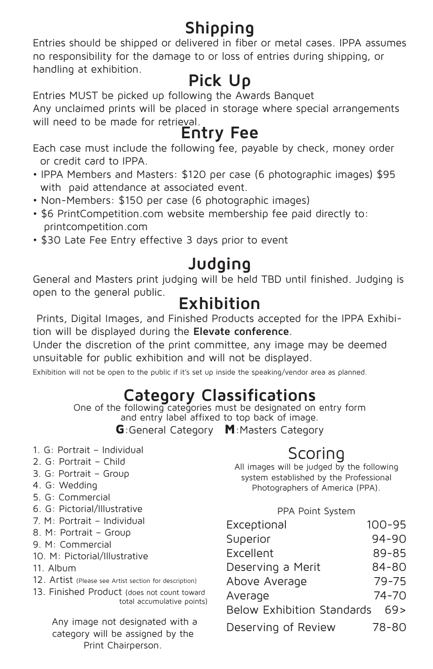# **Shipping**

Entries should be shipped or delivered in fiber or metal cases. IPPA assumes no responsibility for the damage to or loss of entries during shipping, or handling at exhibition.

### **Pick Up**

Entries MUST be picked up following the Awards Banquet

Any unclaimed prints will be placed in storage where special arrangements will need to be made for retrieval.

### **Entry Fee**

Each case must include the following fee, payable by check, money order or credit card to IPPA.

- IPPA Members and Masters: \$120 per case (6 photographic images) \$95 with paid attendance at associated event.
- Non-Members: \$150 per case (6 photographic images)
- \$6 PrintCompetition.com website membership fee paid directly to: printcompetition.com
- \$30 Late Fee Entry effective 3 days prior to event

## **Judging**

General and Masters print judging will be held TBD until finished. Judging is open to the general public.

### **Exhibition**

 Prints, Digital Images, and Finished Products accepted for the IPPA Exhibition will be displayed during the **Elevate conference**.

Under the discretion of the print committee, any image may be deemed unsuitable for public exhibition and will not be displayed.

Exhibition will not be open to the public if it's set up inside the speaking/vendor area as planned.

# **Category Classifications**<br>One of the following categories must be designated on entry form

and entry label affixed to top back of image.

G:General Category M:Masters Category

- 1. G: Portrait Individual
- 2. G: Portrait Child
- 3. G: Portrait Group
- 4. G: Wedding
- 5. G: Commercial
- 6. G: Pictorial/Illustrative
- 7. M: Portrait Individual
- 8. M: Portrait Group
- 9. M: Commercial
- 10. M: Pictorial/Illustrative
- 11. Album
- 12. Artist (Please see Artist section for description)
- 13. Finished Product (does not count toward total accumulative points)

 Any image not designated with a category will be assigned by the Print Chairperson.

### Scoring

All images will be judged by the following system established by the Professional Photographers of America (PPA).

#### PPA Point System

| Exceptional                       | $100 - 95$ |
|-----------------------------------|------------|
| Superior                          | $94 - 90$  |
| Excellent                         | 89-85      |
| Deserving a Merit                 | $84 - 80$  |
| Above Average                     | $79 - 75$  |
| Average                           | $74 - 70$  |
| <b>Below Exhibition Standards</b> | 69>        |
| Deserving of Review               | 78-80      |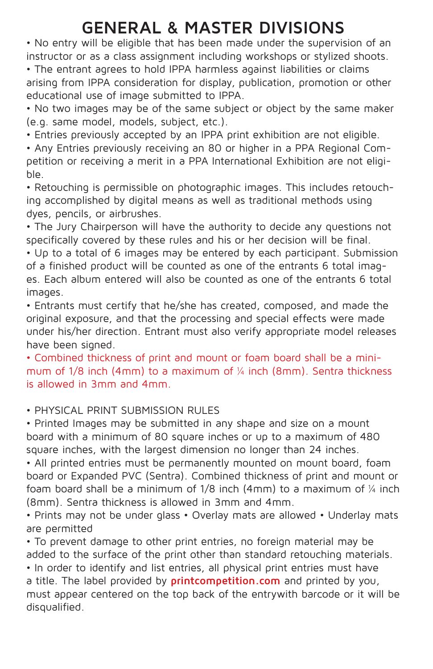### **GENERAL & MASTER DIVISIONS**

• No entry will be eligible that has been made under the supervision of an instructor or as a class assignment including workshops or stylized shoots.

• The entrant agrees to hold IPPA harmless against liabilities or claims arising from IPPA consideration for display, publication, promotion or other educational use of image submitted to IPPA.

• No two images may be of the same subject or object by the same maker (e.g. same model, models, subject, etc.).

• Entries previously accepted by an IPPA print exhibition are not eligible.

• Any Entries previously receiving an 80 or higher in a PPA Regional Competition or receiving a merit in a PPA International Exhibition are not eligible.

• Retouching is permissible on photographic images. This includes retouching accomplished by digital means as well as traditional methods using dyes, pencils, or airbrushes.

• The Jury Chairperson will have the authority to decide any questions not specifically covered by these rules and his or her decision will be final.

• Up to a total of 6 images may be entered by each participant. Submission of a finished product will be counted as one of the entrants 6 total images. Each album entered will also be counted as one of the entrants 6 total images.

• Entrants must certify that he/she has created, composed, and made the original exposure, and that the processing and special effects were made under his/her direction. Entrant must also verify appropriate model releases have been signed.

• Combined thickness of print and mount or foam board shall be a minimum of 1/8 inch (4mm) to a maximum of ¼ inch (8mm). Sentra thickness is allowed in 3mm and 4mm.

• PHYSICAL PRINT SUBMISSION RULES

• Printed Images may be submitted in any shape and size on a mount board with a minimum of 80 square inches or up to a maximum of 480 square inches, with the largest dimension no longer than 24 inches.

• All printed entries must be permanently mounted on mount board, foam board or Expanded PVC (Sentra). Combined thickness of print and mount or foam board shall be a minimum of 1/8 inch (4mm) to a maximum of ¼ inch (8mm). Sentra thickness is allowed in 3mm and 4mm.

• Prints may not be under glass • Overlay mats are allowed • Underlay mats are permitted

• To prevent damage to other print entries, no foreign material may be added to the surface of the print other than standard retouching materials. • In order to identify and list entries, all physical print entries must have a title. The label provided by **printcompetition.com** and printed by you, must appear centered on the top back of the entrywith barcode or it will be disqualified.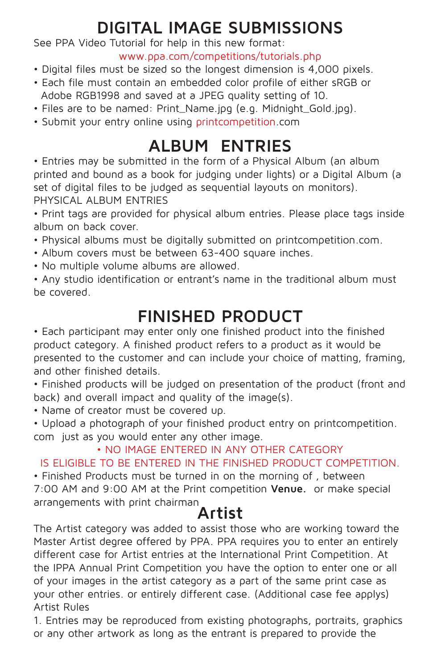# **DIGITAL IMAGE SUBMISSIONS**

See PPA Video Tutorial for help in this new format:

www.ppa.com/competitions/tutorials.php

- Digital files must be sized so the longest dimension is 4,000 pixels.
- Each file must contain an embedded color profile of either sRGB or Adobe RGB1998 and saved at a JPEG quality setting of 10.
- Files are to be named: Print\_Name.jpg (e.g. Midnight\_Gold.jpg).
- Submit your entry online using printcompetition.com

### **ALBUM ENTRIES**

• Entries may be submitted in the form of a Physical Album (an album printed and bound as a book for judging under lights) or a Digital Album (a set of digital files to be judged as sequential layouts on monitors). PHYSICAL ALBUM ENTRIES

• Print tags are provided for physical album entries. Please place tags inside album on back cover.

- Physical albums must be digitally submitted on printcompetition.com.
- Album covers must be between 63-400 square inches.
- No multiple volume albums are allowed.

• Any studio identification or entrant's name in the traditional album must be covered.

### **FINISHED PRODUCT**

• Each participant may enter only one finished product into the finished product category. A finished product refers to a product as it would be presented to the customer and can include your choice of matting, framing, and other finished details.

• Finished products will be judged on presentation of the product (front and back) and overall impact and quality of the image(s).

• Name of creator must be covered up.

• Upload a photograph of your finished product entry on printcompetition. com just as you would enter any other image.

#### • NO IMAGE ENTERED IN ANY OTHER CATEGORY

#### IS ELIGIBLE TO BE ENTERED IN THE FINISHED PRODUCT COMPETITION.

• Finished Products must be turned in on the morning of , between 7:00 AM and 9:00 AM at the Print competition **Venue.** or make special arrangements with print chairman

### **Artist**

The Artist category was added to assist those who are working toward the Master Artist degree offered by PPA. PPA requires you to enter an entirely different case for Artist entries at the International Print Competition. At the IPPA Annual Print Competition you have the option to enter one or all of your images in the artist category as a part of the same print case as your other entries. or entirely different case. (Additional case fee applys) Artist Rules

1. Entries may be reproduced from existing photographs, portraits, graphics or any other artwork as long as the entrant is prepared to provide the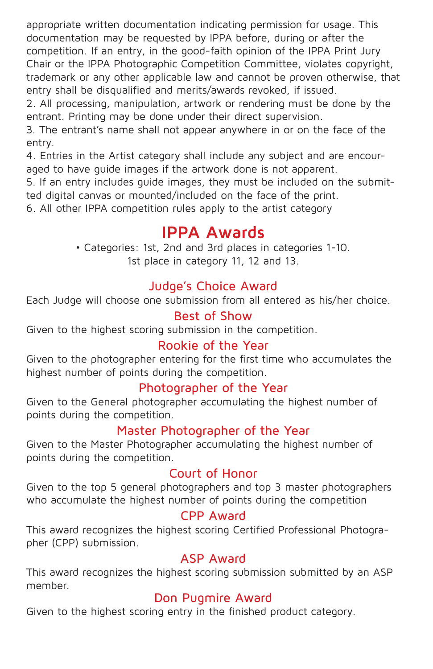appropriate written documentation indicating permission for usage. This documentation may be requested by IPPA before, during or after the competition. If an entry, in the good-faith opinion of the IPPA Print Jury Chair or the IPPA Photographic Competition Committee, violates copyright, trademark or any other applicable law and cannot be proven otherwise, that entry shall be disqualified and merits/awards revoked, if issued.

2. All processing, manipulation, artwork or rendering must be done by the entrant. Printing may be done under their direct supervision.

3. The entrant's name shall not appear anywhere in or on the face of the entry.

4. Entries in the Artist category shall include any subject and are encouraged to have guide images if the artwork done is not apparent.

5. If an entry includes guide images, they must be included on the submitted digital canvas or mounted/included on the face of the print.

6. All other IPPA competition rules apply to the artist category

#### **IPPA Awards**

• Categories: 1st, 2nd and 3rd places in categories 1-10. 1st place in category 11, 12 and 13.

#### Judge's Choice Award

Each Judge will choose one submission from all entered as his/her choice.

#### Best of Show

Given to the highest scoring submission in the competition.

#### Rookie of the Year

Given to the photographer entering for the first time who accumulates the highest number of points during the competition.

#### Photographer of the Year

Given to the General photographer accumulating the highest number of points during the competition.

#### Master Photographer of the Year

Given to the Master Photographer accumulating the highest number of points during the competition.

#### Court of Honor

Given to the top 5 general photographers and top 3 master photographers who accumulate the highest number of points during the competition

#### CPP Award

This award recognizes the highest scoring Certified Professional Photographer (CPP) submission.

#### ASP Award

This award recognizes the highest scoring submission submitted by an ASP member.

#### Don Pugmire Award

Given to the highest scoring entry in the finished product category.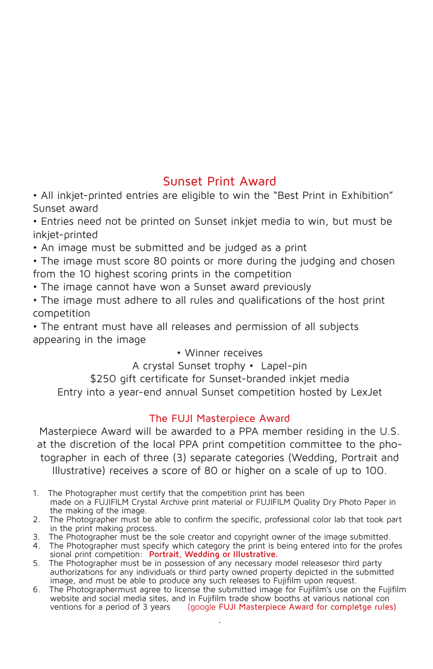#### Sunset Print Award

• All inkjet-printed entries are eligible to win the "Best Print in Exhibition" Sunset award

• Entries need not be printed on Sunset inkjet media to win, but must be inkjet-printed

• An image must be submitted and be judged as a print

• The image must score 80 points or more during the judging and chosen from the 10 highest scoring prints in the competition

- The image cannot have won a Sunset award previously
- The image must adhere to all rules and qualifications of the host print competition

• The entrant must have all releases and permission of all subjects appearing in the image

#### • Winner receives

A crystal Sunset trophy • Lapel-pin

\$250 gift certificate for Sunset-branded inkjet media

Entry into a year-end annual Sunset competition hosted by LexJet

#### The FUJI Masterpiece Award

Masterpiece Award will be awarded to a PPA member residing in the U.S. at the discretion of the local PPA print competition committee to the photographer in each of three (3) separate categories (Wedding, Portrait and Illustrative) receives a score of 80 or higher on a scale of up to 100.

- 1. The Photographer must certify that the competition print has been made on a FUJIFILM Crystal Archive print material or FUJIFILM Quality Dry Photo Paper in the making of the image.
- 2. The Photographer must be able to confirm the specific, professional color lab that took part in the print making process.
- 3. The Photographer must be the sole creator and copyright owner of the image submitted.
- 4. The Photographer must specify which category the print is being entered into for the profes sional print competition: **Portrait, Wedding or Illustrative.**
- 5. The Photographer must be in possession of any necessary model releasesor third party authorizations for any individuals or third party owned property depicted in the submitted image, and must be able to produce any such releases to Fujifilm upon request.
- 6. The Photographermust agree to license the submitted image for Fujifilm's use on the Fujifilm website and social media sites, and in Fujifilm trade show booths at various national con ventions for a period of 3 years (google FUJI Masterpiece Award for completge rules) .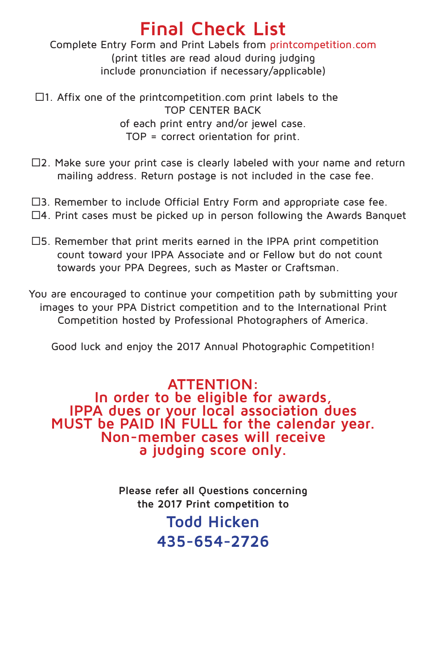## **Final Check List**

Complete Entry Form and Print Labels from printcompetition.com (print titles are read aloud during judging include pronunciation if necessary/applicable)

 $\Box$ 1. Affix one of the printcompetition.com print labels to the TOP CENTER BACK of each print entry and/or jewel case. TOP = correct orientation for print.

- $\square$ 2. Make sure your print case is clearly labeled with your name and return mailing address. Return postage is not included in the case fee.
- $\square$ 3. Remember to include Official Entry Form and appropriate case fee.
- $\Box$ 4. Print cases must be picked up in person following the Awards Banquet
- $\square$ 5. Remember that print merits earned in the IPPA print competition count toward your IPPA Associate and or Fellow but do not count towards your PPA Degrees, such as Master or Craftsman.

You are encouraged to continue your competition path by submitting your images to your PPA District competition and to the International Print Competition hosted by Professional Photographers of America.

Good luck and enjoy the 2017 Annual Photographic Competition!

**ATTENTION:**<br>In order to be eligible for awards, **IPPA dues or your local association dues MUST be PAID IN FULL for the calendar year.<br>MUST be PAID IN FULL for the calendar year.<br>Non-member cases will receive a judging score only.**

> **Please refer all Questions concerning the 2017 Print competition to**

### **Todd Hicken 435-654-2726**